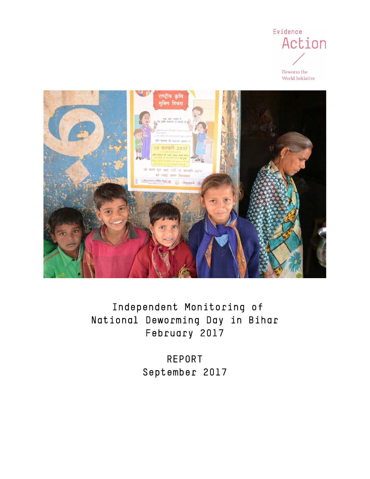

Deworm the World Initiative



 Independent Monitoring of National Deworming Day in Bihar February 2017

> REPORT September 2017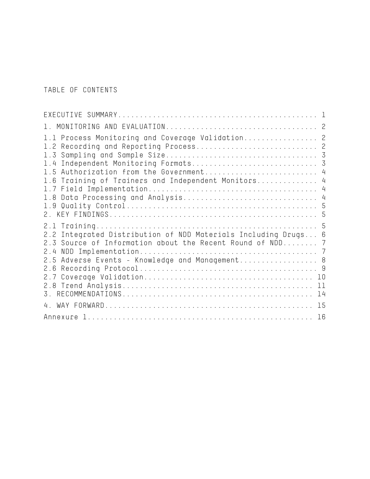TABLE OF CONTENTS

| 1.1 Process Monitoring and Coverage Validation 2<br>1.2 Recording and Reporting Process 2<br>1.4 Independent Monitoring Formats 3<br>1.5 Authorization from the Government 4<br>1.6 Training of Trainers and Independent Monitors 4 |  |
|-------------------------------------------------------------------------------------------------------------------------------------------------------------------------------------------------------------------------------------|--|
| 2.2 Integrated Distribution of NDD Materials Including Drugs 6<br>2.3 Source of Information about the Recent Round of NDD 7<br>2.4<br>2.5 Adverse Events - Knowledge and Management 8                                               |  |
| 15<br>4.                                                                                                                                                                                                                            |  |
| 16                                                                                                                                                                                                                                  |  |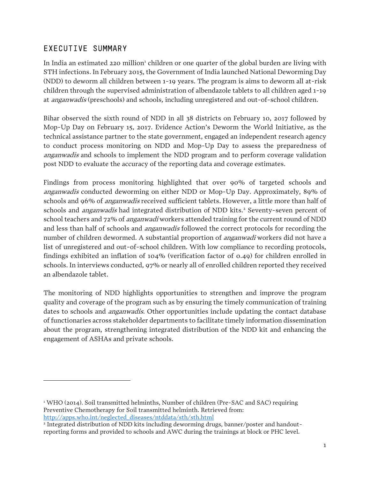# <span id="page-2-0"></span>EXECUTIVE SUMMARY

l

In India an estimated 220 million<sup>[1](#page-2-1)</sup> children or one quarter of the global burden are living with STH infections. In February 2015, the Government of India launched National Deworming Day (NDD) to deworm all children between 1-19 years. The program is aims to deworm all at-risk children through the supervised administration of albendazole tablets to all children aged 1-19 at anganwadis (preschools) and schools, including unregistered and out-of-school children.

Bihar observed the sixth round of NDD in all 38 districts on February 10, 2017 followed by Mop-Up Day on February 15, 2017. Evidence Action's Deworm the World Initiative, as the technical assistance partner to the state government, engaged an independent research agency to conduct process monitoring on NDD and Mop-Up Day to assess the preparedness of anganwadis and schools to implement the NDD program and to perform coverage validation post NDD to evaluate the accuracy of the reporting data and coverage estimates.

Findings from process monitoring highlighted that over 90% of targeted schools and anganwadis conducted deworming on either NDD or Mop-Up Day. Approximately, 89% of schools and 96% of *anganwadis* received sufficient tablets. However, a little more than half of schools and *anganwadis* had integrated distribution of NDD kits.<sup>[2](#page-2-2)</sup> Seventy-seven percent of school teachers and 72% of *anganwadi* workers attended training for the current round of NDD and less than half of schools and *anganwadis* followed the correct protocols for recording the number of children dewormed. A substantial proportion of *anganwadi* workers did not have a list of unregistered and out-of-school children. With low compliance to recording protocols, findings exhibited an inflation of 104% (verification factor of 0.49) for children enrolled in schools. In interviews conducted, 97% or nearly all of enrolled children reported they received an albendazole tablet.

The monitoring of NDD highlights opportunities to strengthen and improve the program quality and coverage of the program such as by ensuring the timely communication of training dates to schools and *anganwadis*. Other opportunities include updating the contact database of functionaries across stakeholder departments to facilitate timely information dissemination about the program, strengthening integrated distribution of the NDD kit and enhancing the engagement of ASHAs and private schools.

<span id="page-2-1"></span><sup>&</sup>lt;sup>1</sup> WHO (2014). Soil transmitted helminths, Number of children (Pre-SAC and SAC) requiring Preventive Chemotherapy for Soil transmitted helminth. Retrieved from: [http://apps.who.int/neglected\\_diseases/ntddata/sth/sth.html](http://apps.who.int/neglected_diseases/ntddata/sth/sth.html)

<span id="page-2-2"></span><sup>2</sup> Integrated distribution of NDD kits including deworming drugs, banner/poster and handoutreporting forms and provided to schools and AWC during the trainings at block or PHC level.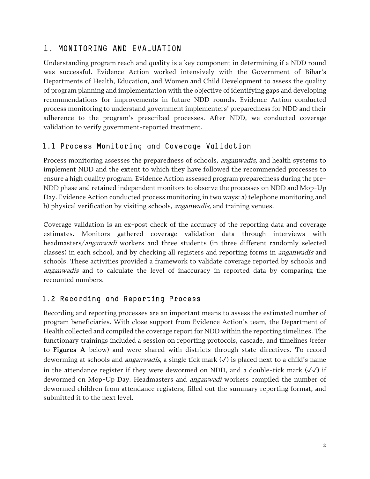## <span id="page-3-0"></span>1. MONITORING AND EVALUATION

Understanding program reach and quality is a key component in determining if a NDD round was successful. Evidence Action worked intensively with the Government of Bihar's Departments of Health, Education, and Women and Child Development to assess the quality of program planning and implementation with the objective of identifying gaps and developing recommendations for improvements in future NDD rounds. Evidence Action conducted process monitoring to understand government implementers' preparedness for NDD and their adherence to the program's prescribed processes. After NDD, we conducted coverage validation to verify government-reported treatment.

### <span id="page-3-1"></span>1.1 Process Monitoring and Coverage Validation

Process monitoring assesses the preparedness of schools, *anganwadis*, and health systems to implement NDD and the extent to which they have followed the recommended processes to ensure a high quality program. Evidence Action assessed program preparedness during the pre-NDD phase and retained independent monitors to observe the processes on NDD and Mop-Up Day. Evidence Action conducted process monitoring in two ways: a) telephone monitoring and b) physical verification by visiting schools, *anganwadis*, and training venues.

Coverage validation is an ex-post check of the accuracy of the reporting data and coverage estimates. Monitors gathered coverage validation data through interviews with headmasters/anganwadi workers and three students (in three different randomly selected classes) in each school, and by checking all registers and reporting forms in anganwadis and schools. These activities provided a framework to validate coverage reported by schools and anganwadis and to calculate the level of inaccuracy in reported data by comparing the recounted numbers.

## <span id="page-3-2"></span>1.2 Recording and Reporting Process

Recording and reporting processes are an important means to assess the estimated number of program beneficiaries. With close support from Evidence Action's team, the Department of Health collected and compiled the coverage report for NDD within the reporting timelines. The functionary trainings included a session on reporting protocols, cascade, and timelines (refer to Figures A below) and were shared with districts through state directives. To record deworming at schools and *anganwadis*, a single tick mark  $(\checkmark)$  is placed next to a child's name in the attendance register if they were dewormed on NDD, and a double-tick mark  $(\sqrt{\checkmark})$  if dewormed on Mop-Up Day. Headmasters and *anganwadi* workers compiled the number of dewormed children from attendance registers, filled out the summary reporting format, and submitted it to the next level.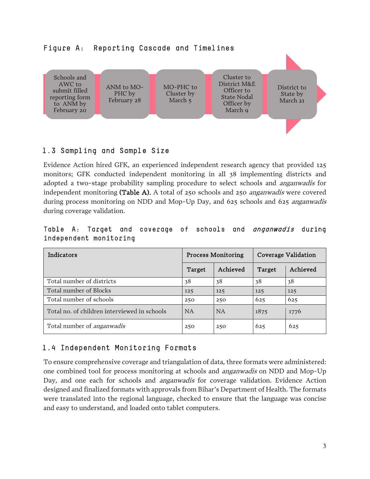

# <span id="page-4-0"></span>1.3 Sampling and Sample Size

Evidence Action hired GFK, an experienced independent research agency that provided 125 monitors; GFK conducted independent monitoring in all 38 implementing districts and adopted a two-stage probability sampling procedure to select schools and anganwadis for independent monitoring (Table A). A total of 250 schools and 250 *anganwadis* were covered during process monitoring on NDD and Mop-Up Day, and 625 schools and 625 *anganwadis* during coverage validation.

|  |                        |  |  | Table A: Target and coverage of schools and <i>anganwadis</i> during |  |
|--|------------------------|--|--|----------------------------------------------------------------------|--|
|  | independent monitoring |  |  |                                                                      |  |

| Indicators                                   |           | <b>Process Monitoring</b> | Coverage Validation |          |  |
|----------------------------------------------|-----------|---------------------------|---------------------|----------|--|
|                                              | Target    | Achieved                  | Target              | Achieved |  |
| Total number of districts                    | 38        | 38                        | 38                  | 38       |  |
| Total number of Blocks                       | 125       | 125                       | 125                 | 125      |  |
| Total number of schools                      | 250       | 250                       | 625                 | 625      |  |
| Total no, of children interviewed in schools | <b>NA</b> | <b>NA</b>                 | 1875                | 1776     |  |
| Total number of <i>anganwadis</i>            | 250       | 250                       | 625                 | 625      |  |

# <span id="page-4-1"></span>1.4 Independent Monitoring Formats

To ensure comprehensive coverage and triangulation of data, three formats were administered: one combined tool for process monitoring at schools and anganwadis on NDD and Mop-Up Day, and one each for schools and *anganwadis* for coverage validation. Evidence Action designed and finalized formats with approvals from Bihar's Department of Health. The formats were translated into the regional language, checked to ensure that the language was concise and easy to understand, and loaded onto tablet computers.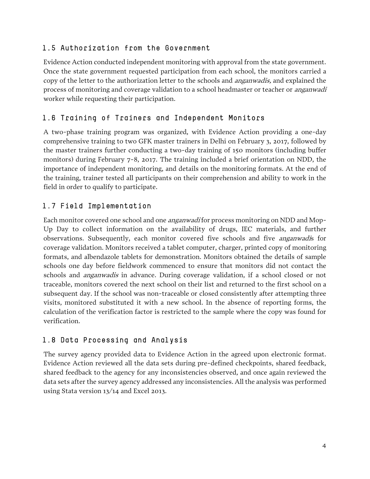### <span id="page-5-0"></span>1.5 Authorization from the Government

Evidence Action conducted independent monitoring with approval from the state government. Once the state government requested participation from each school, the monitors carried a copy of the letter to the authorization letter to the schools and *anganwadis*, and explained the process of monitoring and coverage validation to a school headmaster or teacher or anganwadi worker while requesting their participation.

## <span id="page-5-1"></span>1.6 Training of Trainers and Independent Monitors

A two-phase training program was organized, with Evidence Action providing a one-day comprehensive training to two GFK master trainers in Delhi on February 3, 2017, followed by the master trainers further conducting a two-day training of 150 monitors (including buffer monitors) during February 7-8, 2017. The training included a brief orientation on NDD, the importance of independent monitoring, and details on the monitoring formats. At the end of the training, trainer tested all participants on their comprehension and ability to work in the field in order to qualify to participate.

## <span id="page-5-2"></span>1.7 Field Implementation

Each monitor covered one school and one *anganwadi* for process monitoring on NDD and Mop-Up Day to collect information on the availability of drugs, IEC materials, and further observations. Subsequently, each monitor covered five schools and five *anganwadi*s for coverage validation. Monitors received a tablet computer, charger, printed copy of monitoring formats, and albendazole tablets for demonstration. Monitors obtained the details of sample schools one day before fieldwork commenced to ensure that monitors did not contact the schools and anganwadis in advance. During coverage validation, if a school closed or not traceable, monitors covered the next school on their list and returned to the first school on a subsequent day. If the school was non-traceable or closed consistently after attempting three visits, monitored substituted it with a new school. In the absence of reporting forms, the calculation of the verification factor is restricted to the sample where the copy was found for verification.

# <span id="page-5-3"></span>1.8 Data Processing and Analysis

The survey agency provided data to Evidence Action in the agreed upon electronic format. Evidence Action reviewed all the data sets during pre-defined checkpoints, shared feedback, shared feedback to the agency for any inconsistencies observed, and once again reviewed the data sets after the survey agency addressed any inconsistencies. All the analysis was performed using Stata version 13/14 and Excel 2013.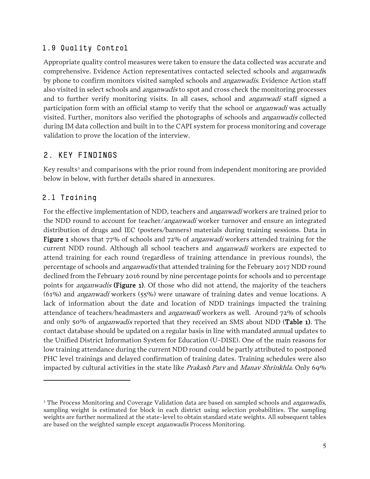### <span id="page-6-0"></span>1.9 Quality Control

Appropriate quality control measures were taken to ensure the data collected was accurate and comprehensive. Evidence Action representatives contacted selected schools and anganwadis by phone to confirm monitors visited sampled schools and *anganwadis*. Evidence Action staff also visited in select schools and *anganwadis* to spot and cross check the monitoring processes and to further verify monitoring visits. In all cases, school and *anganwadi* staff signed a participation form with an official stamp to verify that the school or *anganwadi* was actually visited. Further, monitors also verified the photographs of schools and anganwadis collected during IM data collection and built in to the CAPI system for process monitoring and coverage validation to prove the location of the interview.

## <span id="page-6-1"></span>2. KEY FINDINGS

Key results<sup>[3](#page-6-3)</sup> and comparisons with the prior round from independent monitoring are provided below in below, with further details shared in annexures.

## <span id="page-6-2"></span>2.1 Training

l

For the effective implementation of NDD, teachers and *anganwadi* workers are trained prior to the NDD round to account for teacher/*anganwadi* worker turnover and ensure an integrated distribution of drugs and IEC (posters/banners) materials during training sessions. Data in Figure 1 shows that 77% of schools and 72% of *anganwadi* workers attended training for the current NDD round. Although all school teachers and *anganwadi* workers are expected to attend training for each round (regardless of training attendance in previous rounds), the percentage of schools and *anganwadis* that attended training for the February 2017 NDD round declined from the February 2016 round by nine percentage points for schools and 10 percentage points for *anganwadis* (Figure 1). Of those who did not attend, the majority of the teachers (61%) and anganwadi workers (55%) were unaware of training dates and venue locations. A lack of information about the date and location of NDD trainings impacted the training attendance of teachers/headmasters and *anganwadi* workers as well. Around 72% of schools and only 50% of *anganwadis* reported that they received an SMS about NDD (**Table 1**). The contact database should be updated on a regular basis in line with mandated annual updates to the Unified District Information System for Education (U-DISE). One of the main reasons for low training attendance during the current NDD round could be partly attributed to postponed PHC level trainings and delayed confirmation of training dates. Training schedules were also impacted by cultural activities in the state like *Prakash Parv* and *Manav Shrinkhla*. Only 69%

<span id="page-6-3"></span><sup>&</sup>lt;sup>3</sup> The Process Monitoring and Coverage Validation data are based on sampled schools and *anganwadis*, sampling weight is estimated for block in each district using selection probabilities. The sampling weights are further normalized at the state-level to obtain standard state weights. All subsequent tables are based on the weighted sample except *anganwadis* Process Monitoring.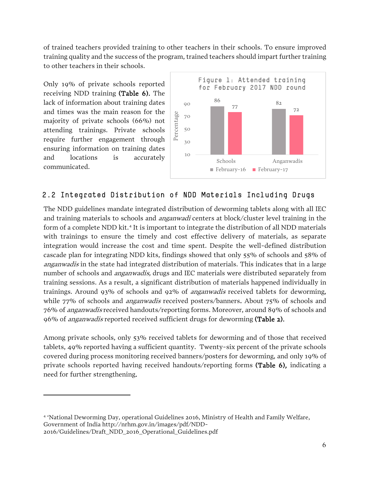of trained teachers provided training to other teachers in their schools. To ensure improved training quality and the success of the program, trained teachers should impart further training to other teachers in their schools.

Only 19% of private schools reported receiving NDD training (Table 6). The lack of information about training dates and times was the main reason for the majority of private schools (66%) not attending trainings. Private schools require further engagement through ensuring information on training dates and locations is accurately communicated.

l



## <span id="page-7-0"></span>2.2 Integrated Distribution of NDD Materials Including Drugs

The NDD guidelines mandate integrated distribution of deworming tablets along with all IEC and training materials to schools and *anganwadi* centers at block/cluster level training in the form of a complete NDD kit. [4](#page-7-1) It is important to integrate the distribution of all NDD materials with trainings to ensure the timely and cost effective delivery of materials, as separate integration would increase the cost and time spent. Despite the well-defined distribution cascade plan for integrating NDD kits, findings showed that only 55% of schools and 58% of anganwadis in the state had integrated distribution of materials. This indicates that in a large number of schools and *anganwadis*, drugs and IEC materials were distributed separately from training sessions. As a result, a significant distribution of materials happened individually in trainings. Around 93% of schools and 92% of *anganwadis* received tablets for deworming, while 77% of schools and *anganwadis* received posters/banners. About 75% of schools and 76% of anganwadis received handouts/reporting forms. Moreover, around 89% of schools and 96% of *anganwadis* reported received sufficient drugs for deworming (Table 2).

Among private schools, only 53% received tablets for deworming and of those that received tablets, 49% reported having a sufficient quantity. Twenty-six percent of the private schools covered during process monitoring received banners/posters for deworming, and only 19% of private schools reported having received handouts/reporting forms (Table 6), indicating a need for further strengthening.

<span id="page-7-1"></span><sup>4</sup> 'National Deworming Day, operational Guidelines 2016, Ministry of Health and Family Welfare, Government of India http://nrhm.gov.in/images/pdf/NDD-2016/Guidelines/Draft\_NDD\_2016\_Operational\_Guidelines.pdf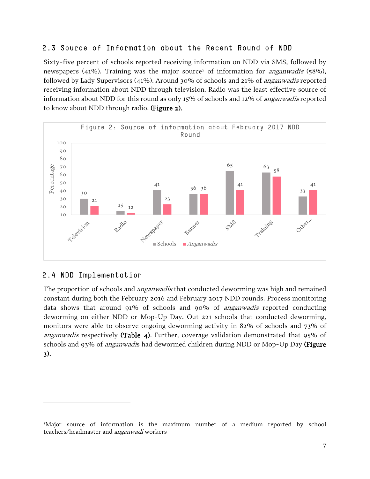### <span id="page-8-0"></span>2.3 Source of Information about the Recent Round of NDD

Sixty-five percent of schools reported receiving information on NDD via SMS, followed by newspapers (41%). Training was the major source<sup>[5](#page-8-2)</sup> of information for *anganwadis* (58%), followed by Lady Supervisors (41%). Around 30% of schools and 21% of anganwadis reported receiving information about NDD through television. Radio was the least effective source of information about NDD for this round as only 15% of schools and 12% of *anganwadis* reported to know about NDD through radio. (Figure 2).



## <span id="page-8-1"></span>2.4 NDD Implementation

l

The proportion of schools and *anganwadis* that conducted deworming was high and remained constant during both the February 2016 and February 2017 NDD rounds. Process monitoring data shows that around 91% of schools and 90% of *anganwadis* reported conducting deworming on either NDD or Mop-Up Day. Out 221 schools that conducted deworming, monitors were able to observe ongoing deworming activity in 82% of schools and 73% of *anganwadis* respectively (Table 4). Further, coverage validation demonstrated that  $95\%$  of schools and 93% of *anganwadi*s had dewormed children during NDD or Mop-Up Day (Figure 3).

<span id="page-8-2"></span><sup>5</sup> Major source of information is the maximum number of a medium reported by school teachers/headmaster and anganwadi workers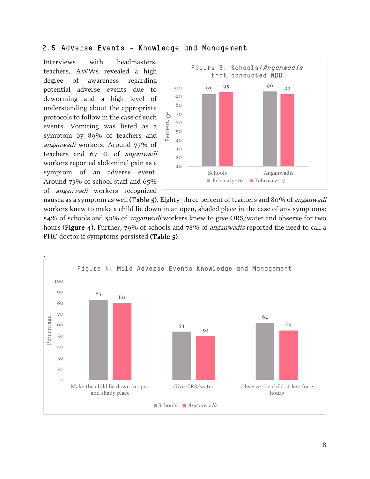#### <span id="page-9-0"></span>2.5 Adverse Events - Knowledge and Management

Interviews with headmasters, teachers, AWWs revealed a high degree of awareness regarding potential adverse events due to deworming and a high level of understanding about the appropriate protocols to follow in the case of such events. Vomiting was listed as a symptom by 89% of teachers and anganwadi workers. Around 77% of teachers and 67 % of anganwadi workers reported abdominal pain as a symptom of an adverse event. Around 73% of school staff and 65% of anganwadi workers recognized



nausea as a symptom as well (Table 5). Eighty-three percent of teachers and 80% of *anganwadi* workers knew to make a child lie down in an open, shaded place in the case of any symptoms; 54% of schools and 50% of anganwadi workers knew to give ORS/water and observe for two hours (Figure 4). Further, 79% of schools and 78% of *anganwadis* reported the need to call a PHC doctor if symptoms persisted (Table 5).

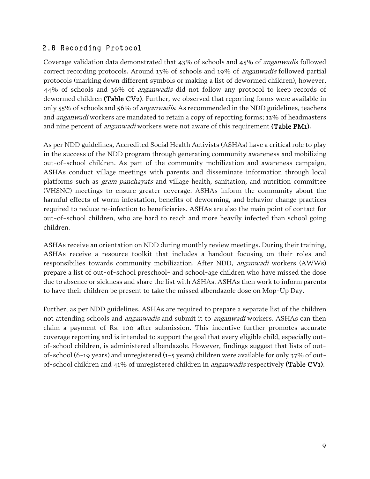### <span id="page-10-0"></span>2.6 Recording Protocol

Coverage validation data demonstrated that 43% of schools and 45% of anganwadis followed correct recording protocols. Around 13% of schools and 19% of anganwadis followed partial protocols (marking down different symbols or making a list of dewormed children), however, 44% of schools and 36% of anganwadis did not follow any protocol to keep records of dewormed children (Table CV2). Further, we observed that reporting forms were available in only 55% of schools and 56% of anganwadis. As recommended in the NDD guidelines, teachers and anganwadi workers are mandated to retain a copy of reporting forms; 12% of headmasters and nine percent of *anganwadi* workers were not aware of this requirement (Table PM1).

As per NDD guidelines, Accredited Social Health Activists (ASHAs) have a critical role to play in the success of the NDD program through generating community awareness and mobilizing out-of-school children. As part of the community mobilization and awareness campaign, ASHAs conduct village meetings with parents and disseminate information through local platforms such as gram panchayats and village health, sanitation, and nutrition committee (VHSNC) meetings to ensure greater coverage. ASHAs inform the community about the harmful effects of worm infestation, benefits of deworming, and behavior change practices required to reduce re-infection to beneficiaries. ASHAs are also the main point of contact for out-of-school children, who are hard to reach and more heavily infected than school going children.

ASHAs receive an orientation on NDD during monthly review meetings. During their training, ASHAs receive a resource toolkit that includes a handout focusing on their roles and responsibilies towards community mobilization. After NDD, anganwadi workers (AWWs) prepare a list of out-of-school preschool- and school-age children who have missed the dose due to absence or sickness and share the list with ASHAs. ASHAs then work to inform parents to have their children be present to take the missed albendazole dose on Mop-Up Day.

Further, as per NDD guidelines, ASHAs are required to prepare a separate list of the children not attending schools and *anganwadis* and submit it to *anganwadi* workers. ASHAs can then claim a payment of Rs. 100 after submission. This incentive further promotes accurate coverage reporting and is intended to support the goal that every eligible child, especially outof-school children, is administered albendazole. However, findings suggest that lists of outof-school (6-19 years) and unregistered (1-5 years) children were available for only 37% of outof-school children and 41% of unregistered children in anganwadis respectively (Table CV1).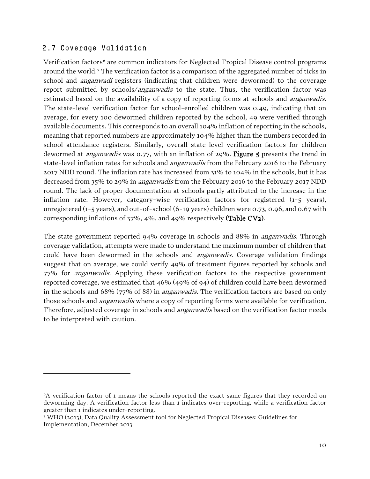#### <span id="page-11-0"></span>2.7 Coverage Validation

l

Verification factors<sup>[6](#page-11-1)</sup> are common indicators for Neglected Tropical Disease control programs around the world. [7](#page-11-2) The verification factor is a comparison of the aggregated number of ticks in school and *anganwadi* registers (indicating that children were dewormed) to the coverage report submitted by schools/anganwadis to the state. Thus, the verification factor was estimated based on the availability of a copy of reporting forms at schools and *anganwadis*. The state-level verification factor for school-enrolled children was 0.49, indicating that on average, for every 100 dewormed children reported by the school, 49 were verified through available documents. This corresponds to an overall 104% inflation of reporting in the schools, meaning that reported numbers are approximately 104% higher than the numbers recorded in school attendance registers. Similarly, overall state-level verification factors for children dewormed at *anganwadis* was 0.77, with an inflation of 29%. Figure 5 presents the trend in state-level inflation rates for schools and *anganwadis* from the February 2016 to the February 2017 NDD round. The inflation rate has increased from 31% to 104% in the schools, but it has decreased from 35% to 29% in *anganwadis* from the February 2016 to the February 2017 NDD round. The lack of proper documentation at schools partly attributed to the increase in the inflation rate. However, category-wise verification factors for registered (1-5 years), unregistered (1-5 years), and out-of-school (6-19 years) children were 0.73, 0.96, and 0.67 with corresponding inflations of 37%, 4%, and 49% respectively (Table CV2).

The state government reported 94% coverage in schools and 88% in *anganwadis*. Through coverage validation, attempts were made to understand the maximum number of children that could have been dewormed in the schools and *anganwadis*. Coverage validation findings suggest that on average, we could verify 49% of treatment figures reported by schools and 77% for anganwadis. Applying these verification factors to the respective government reported coverage, we estimated that 46% (49% of 94) of children could have been dewormed in the schools and 68% (77% of 88) in *anganwadis*. The verification factors are based on only those schools and *anganwadis* where a copy of reporting forms were available for verification. Therefore, adjusted coverage in schools and *anganwadis* based on the verification factor needs to be interpreted with caution.

<span id="page-11-1"></span><sup>6</sup>A verification factor of 1 means the schools reported the exact same figures that they recorded on deworming day. A verification factor less than 1 indicates over-reporting, while a verification factor greater than 1 indicates under-reporting.

<span id="page-11-2"></span><sup>7</sup> WHO (2013), Data Quality Assessment tool for Neglected Tropical Diseases: Guidelines for Implementation, December 2013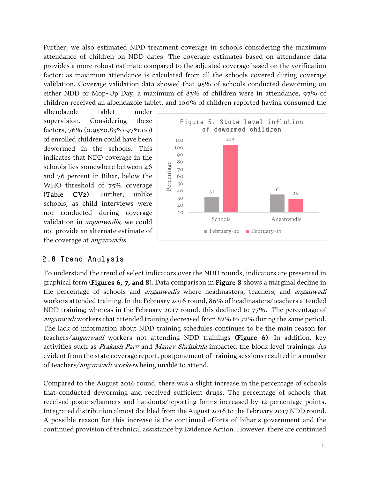Further, we also estimated NDD treatment coverage in schools considering the maximum attendance of children on NDD dates. The coverage estimates based on attendance data provides a more robust estimate compared to the adjusted coverage based on the verification factor: as maximum attendance is calculated from all the schools covered during coverage validation. Coverage validation data showed that 95% of schools conducted deworming on either NDD or Mop-Up Day, a maximum of 83% of children were in attendance, 97% of children received an albendazole tablet, and 100% of children reported having consumed the

albendazole tablet under supervision. Considering these factors, 76% (0.95\*0.83\*0.97\*1.00) of enrolled children could have been dewormed in the schools. This indicates that NDD coverage in the schools lies somewhere between 46 and 76 percent in Bihar, below the WHO threshold of 75% coverage (Table CV2). Further, unlike schools, as child interviews were not conducted during coverage validation in *anganwadis*, we could not provide an alternate estimate of the coverage at *anganwadis*.



#### <span id="page-12-0"></span>2.8 Trend Analysis

To understand the trend of select indicators over the NDD rounds, indicators are presented in graphical form (Figures 6, 7, and 8). Data comparison in Figure 8 shows a marginal decline in the percentage of schools and *anganwadis* where headmasters, teachers, and *anganwadi* workers attended training. In the February 2016 round, 86% of headmasters/teachers attended NDD training; whereas in the February 2017 round, this declined to 77%. The percentage of anganwadi workers that attended training decreased from 82% to 72% during the same period. The lack of information about NDD training schedules continues to be the main reason for teachers/anganwadi workers not attending NDD trainings (Figure 6). In addition, key activities such as *Prakash Parv* and *Manav Shrinkhla* impacted the block level trainings. As evident from the state coverage report, postponement of training sessions resulted in a number of teachers/anganwadi workers being unable to attend.

Compared to the August 2016 round, there was a slight increase in the percentage of schools that conducted deworming and received sufficient drugs. The percentage of schools that received posters/banners and handouts/reporting forms increased by 12 percentage points. Integrated distribution almost doubled from the August 2016 to the February 2017 NDD round. A possible reason for this increase is the continued efforts of Bihar's government and the continued provision of technical assistance by Evidence Action. However, there are continued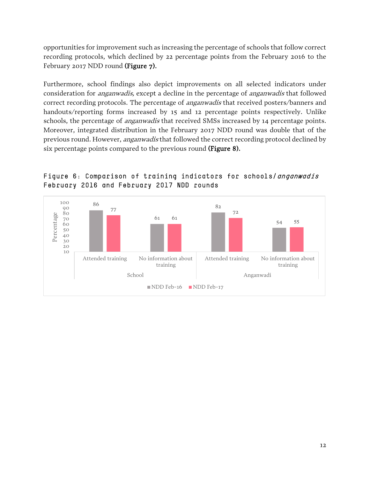opportunities for improvement such as increasing the percentage of schools that follow correct recording protocols, which declined by 22 percentage points from the February 2016 to the February 2017 NDD round (Figure 7).

Furthermore, school findings also depict improvements on all selected indicators under consideration for *anganwadis*, except a decline in the percentage of *anganwadis* that followed correct recording protocols. The percentage of *anganwadis* that received posters/banners and handouts/reporting forms increased by 15 and 12 percentage points respectively. Unlike schools, the percentage of *anganwadis* that received SMSs increased by 14 percentage points. Moreover, integrated distribution in the February 2017 NDD round was double that of the previous round. However, *anganwadis* that followed the correct recording protocol declined by six percentage points compared to the previous round (Figure 8).



Figure 6: Comparison of training indicators for schools/anganwadis February 2016 and February 2017 NDD rounds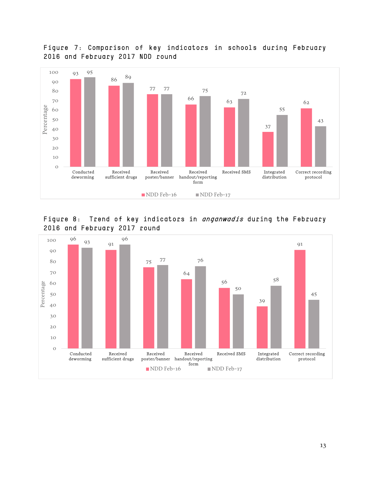

#### Figure 7: Comparison of key indicators in schools during February 2016 and February 2017 NDD round



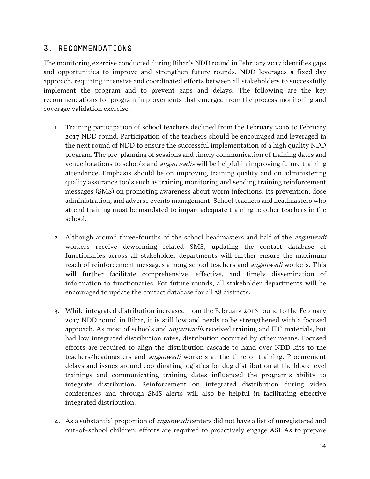### <span id="page-15-0"></span>3. RECOMMENDATIONS

The monitoring exercise conducted during Bihar's NDD round in February 2017 identifies gaps and opportunities to improve and strengthen future rounds. NDD leverages a fixed-day approach, requiring intensive and coordinated efforts between all stakeholders to successfully implement the program and to prevent gaps and delays. The following are the key recommendations for program improvements that emerged from the process monitoring and coverage validation exercise.

- 1. Training participation of school teachers declined from the February 2016 to February 2017 NDD round. Participation of the teachers should be encouraged and leveraged in the next round of NDD to ensure the successful implementation of a high quality NDD program. The pre-planning of sessions and timely communication of training dates and venue locations to schools and *anganwadis* will be helpful in improving future training attendance. Emphasis should be on improving training quality and on administering quality assurance tools such as training monitoring and sending training reinforcement messages (SMS) on promoting awareness about worm infections, its prevention, dose administration, and adverse events management. School teachers and headmasters who attend training must be mandated to impart adequate training to other teachers in the school.
- 2. Although around three-fourths of the school headmasters and half of the *anganwadi* workers receive deworming related SMS, updating the contact database of functionaries across all stakeholder departments will further ensure the maximum reach of reinforcement messages among school teachers and *anganwadi* workers. This will further facilitate comprehensive, effective, and timely dissemination of information to functionaries. For future rounds, all stakeholder departments will be encouraged to update the contact database for all 38 districts.
- 3. While integrated distribution increased from the February 2016 round to the February 2017 NDD round in Bihar, it is still low and needs to be strengthened with a focused approach. As most of schools and *anganwadis* received training and IEC materials, but had low integrated distribution rates, distribution occurred by other means. Focused efforts are required to align the distribution cascade to hand over NDD kits to the teachers/headmasters and *anganwadi* workers at the time of training. Procurement delays and issues around coordinating logistics for dug distribution at the block level trainings and communicating training dates influenced the program's ability to integrate distribution. Reinforcement on integrated distribution during video conferences and through SMS alerts will also be helpful in facilitating effective integrated distribution.
- 4. As a substantial proportion of *anganwadi* centers did not have a list of unregistered and out-of-school children, efforts are required to proactively engage ASHAs to prepare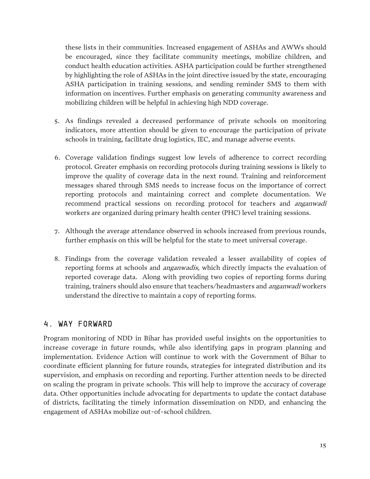these lists in their communities. Increased engagement of ASHAs and AWWs should be encouraged, since they facilitate community meetings, mobilize children, and conduct health education activities. ASHA participation could be further strengthened by highlighting the role of ASHAs in the joint directive issued by the state, encouraging ASHA participation in training sessions, and sending reminder SMS to them with information on incentives. Further emphasis on generating community awareness and mobilizing children will be helpful in achieving high NDD coverage.

- 5. As findings revealed a decreased performance of private schools on monitoring indicators, more attention should be given to encourage the participation of private schools in training, facilitate drug logistics, IEC, and manage adverse events.
- 6. Coverage validation findings suggest low levels of adherence to correct recording protocol. Greater emphasis on recording protocols during training sessions is likely to improve the quality of coverage data in the next round. Training and reinforcement messages shared through SMS needs to increase focus on the importance of correct reporting protocols and maintaining correct and complete documentation. We recommend practical sessions on recording protocol for teachers and *anganwadi* workers are organized during primary health center (PHC) level training sessions.
- 7. Although the average attendance observed in schools increased from previous rounds, further emphasis on this will be helpful for the state to meet universal coverage.
- 8. Findings from the coverage validation revealed a lesser availability of copies of reporting forms at schools and *anganwadis*, which directly impacts the evaluation of reported coverage data. Along with providing two copies of reporting forms during training, trainers should also ensure that teachers/headmasters and *anganwadi* workers understand the directive to maintain a copy of reporting forms.

## <span id="page-16-0"></span>4. WAY FORWARD

Program monitoring of NDD in Bihar has provided useful insights on the opportunities to increase coverage in future rounds, while also identifying gaps in program planning and implementation. Evidence Action will continue to work with the Government of Bihar to coordinate efficient planning for future rounds, strategies for integrated distribution and its supervision, and emphasis on recording and reporting. Further attention needs to be directed on scaling the program in private schools. This will help to improve the accuracy of coverage data. Other opportunities include advocating for departments to update the contact database of districts, facilitating the timely information dissemination on NDD, and enhancing the engagement of ASHAs mobilize out-of-school children.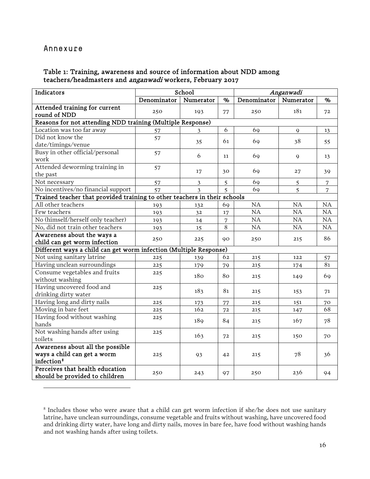#### <span id="page-17-0"></span>Annexure

l

#### Table 1: Training, awareness and source of information about NDD among teachers/headmasters and anganwadi workers, February 2017

| Indicators                                                        |                                                                           | School         |                |             | Anganwadi   |                |  |  |  |
|-------------------------------------------------------------------|---------------------------------------------------------------------------|----------------|----------------|-------------|-------------|----------------|--|--|--|
|                                                                   | Denominator                                                               | Numerator      | %              | Denominator | Numerator   | %              |  |  |  |
| Attended training for current                                     | 250                                                                       | 193            | 77             | 250         | 181         | 72             |  |  |  |
| round of NDD                                                      |                                                                           |                |                |             |             |                |  |  |  |
| Reasons for not attending NDD training (Multiple Response)        |                                                                           |                |                |             |             |                |  |  |  |
| Location was too far away                                         | 57                                                                        | 3              | 6              | 69          | $\mathbf Q$ | 13             |  |  |  |
| Did not know the                                                  | 57                                                                        | 35             | 61             | 69          | 38          | 55             |  |  |  |
| date/timings/venue                                                |                                                                           |                |                |             |             |                |  |  |  |
| Busy in other official/personal<br>work                           | 57                                                                        | 6              | 11             | 69          | 9           | 13             |  |  |  |
| Attended deworming training in                                    | 57                                                                        | 17             | 30             | 69          | 27          | 39             |  |  |  |
| the past                                                          |                                                                           |                |                |             |             |                |  |  |  |
| Not necessary                                                     | 57                                                                        | $\mathfrak{Z}$ | 5              | 69          | 5           | $\sqrt{ }$     |  |  |  |
| No incentives/no financial support                                | 57                                                                        | 3              | 5              | 69          | 5           | $\overline{7}$ |  |  |  |
|                                                                   | Trained teacher that provided training to other teachers in their schools |                |                |             |             |                |  |  |  |
| All other teachers                                                | 193                                                                       | 132            | 69             | NA          | <b>NA</b>   | NA             |  |  |  |
| Few teachers                                                      | 193                                                                       | 32             | 17             | NA          | NA          | NA             |  |  |  |
| No (himself/herself only teacher)                                 | 193                                                                       | 14             | 7              | NA          | NA          | NA             |  |  |  |
| No, did not train other teachers                                  | 193                                                                       | 15             | $\overline{8}$ | NA          | NA          | NA             |  |  |  |
| Awareness about the ways a<br>child can get worm infection        | 250                                                                       | 225            | 90             | 250         | 215         | 86             |  |  |  |
| Different ways a child can get worm infection (Multiple Response) |                                                                           |                |                |             |             |                |  |  |  |
| Not using sanitary latrine                                        | 225                                                                       | 139            | 62             | 215         | 122         | 57             |  |  |  |
| Having unclean surroundings                                       | 225                                                                       | 179            | 79             | 215         | 174         | 81             |  |  |  |
| Consume vegetables and fruits<br>without washing                  | 225                                                                       | 180            | 80             | 215         | 149         | 69             |  |  |  |
| Having uncovered food and<br>drinking dirty water                 | 225                                                                       | 183            | 81             | 215         | 153         | 71             |  |  |  |
| Having long and dirty nails                                       | 225                                                                       |                | 77             | 215         | 151         |                |  |  |  |
| Moving in bare feet                                               | 225                                                                       | 173<br>162     | 72             | 215         | 147         | 70<br>68       |  |  |  |
| Having food without washing                                       |                                                                           |                |                |             |             |                |  |  |  |
| hands                                                             | 225                                                                       | 189            | 84             | 215         | 167         | 78             |  |  |  |
| Not washing hands after using                                     | 225                                                                       |                |                |             |             |                |  |  |  |
| toilets                                                           |                                                                           | 163            | 72             | 215         | 150         | 70             |  |  |  |
| Awareness about all the possible                                  |                                                                           |                |                |             |             |                |  |  |  |
| ways a child can get a worm<br>infection <sup>8</sup>             | 225                                                                       | 93             | 42             | 215         | 78          | 36             |  |  |  |
| Perceives that health education<br>should be provided to children | 250                                                                       | 243            | 97             | 250         | 236         | 94             |  |  |  |

<span id="page-17-1"></span><sup>8</sup> Includes those who were aware that a child can get worm infection if she/he does not use sanitary latrine, have unclean surroundings, consume vegetable and fruits without washing, have uncovered food and drinking dirty water, have long and dirty nails, moves in bare fee, have food without washing hands and not washing hands after using toilets.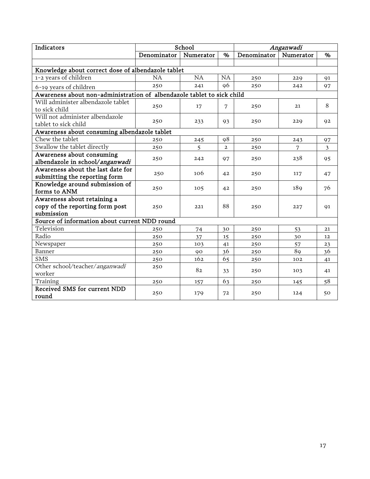| Indicators                                                                   |             | School         |                | Anganwadi   |           |                |
|------------------------------------------------------------------------------|-------------|----------------|----------------|-------------|-----------|----------------|
|                                                                              | Denominator | Numerator      | $\%$           | Denominator | Numerator | $\%$           |
|                                                                              |             |                |                |             |           |                |
| Knowledge about correct dose of albendazole tablet                           |             |                |                |             |           |                |
| 1-2 years of children                                                        | <b>NA</b>   | <b>NA</b>      | <b>NA</b>      | 250         | 229       | 91             |
| 6-19 years of children                                                       | 250         | 241            | 96             | 250         | 242       | 97             |
| Awareness about non-administration of albendazole tablet to sick child       |             |                |                |             |           |                |
| Will administer albendazole tablet<br>to sick child                          | 250         | 17             | 7              | 250         | 21        | 8              |
| Will not administer albendazole<br>tablet to sick child                      | 250         | 233            | 93             | 250         | 229       | 92             |
| Awareness about consuming albendazole tablet                                 |             |                |                |             |           |                |
| Chew the tablet                                                              | 250         | 245            | 98             | 250         | 243       | 97             |
| Swallow the tablet directly                                                  | 250         | $\overline{5}$ | $\overline{2}$ | 250         | 7         | $\mathfrak{Z}$ |
| Awareness about consuming<br>albendazole in school/anganwadi                 | 250         | 242            | 97             | 250         | 238       | 95             |
| Awareness about the last date for<br>submitting the reporting form           | 250         | 106            | 42             | 250         | 117       | 47             |
| Knowledge around submission of<br>forms to ANM                               | 250         | 105            | 42             | 250         | 189       | 76             |
| Awareness about retaining a<br>copy of the reporting form post<br>submission | 250         | 221            | 88             | 250         | 227       | 91             |
| Source of information about current NDD round                                |             |                |                |             |           |                |
| Television                                                                   | 250         | 74             | 30             | 250         | 53        | 21             |
| Radio                                                                        | 250         | 37             | 15             | 250         | 30        | 12             |
| Newspaper                                                                    | 250         | 103            | 41             | 250         | 57        | 23             |
| Banner                                                                       | 250         | 90             | 36             | 250         | 89        | 36             |
| <b>SMS</b>                                                                   | 250         | 162            | 65             | 250         | 102       | 41             |
| Other school/teacher/anganwadi<br>worker                                     | 250         | 82             | 33             | 250         | 103       | 41             |
| Training                                                                     | 250         | 157            | 63             | 250         | 145       | 58             |
| Received SMS for current NDD<br>round                                        | 250         | 179            | 72             | 250         | 124       | 50             |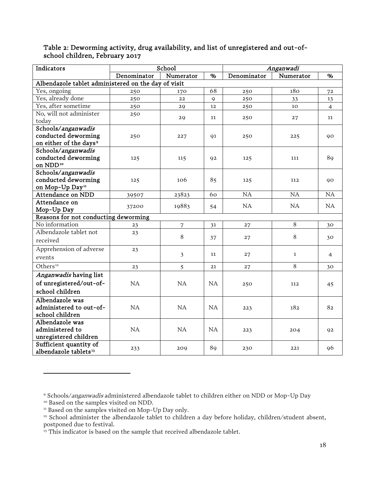| Indicators                                                  |             | School    |              | Anganwadi   |              |                |  |
|-------------------------------------------------------------|-------------|-----------|--------------|-------------|--------------|----------------|--|
|                                                             | Denominator | Numerator | $\%$         | Denominator | Numerator    | %              |  |
| Albendazole tablet administered on the day of visit         |             |           |              |             |              |                |  |
| Yes, ongoing                                                | 250         | 170       | 68           | 250         | 180          | 72             |  |
| Yes, already done                                           | 250         | 22        | $\mathsf{Q}$ | 250         | 33           | 13             |  |
| Yes, after sometime                                         | 250         | 29        | 12           | 250         | 10           | $\overline{4}$ |  |
| No, will not administer                                     | 250         |           | 11           |             |              | 11             |  |
| today                                                       |             | 29        |              | 250         | 27           |                |  |
| Schools/anganwadis                                          |             |           |              |             |              |                |  |
| conducted deworming                                         | 250         | 227       | 91           | 250         | 225          | 90             |  |
| on either of the days <sup>9</sup>                          |             |           |              |             |              |                |  |
| Schools/anganwadis                                          |             |           |              |             |              |                |  |
| conducted deworming                                         | 125         | 115       | 92           | 125         | 111          | 89             |  |
| on NDD <sup>10</sup>                                        |             |           |              |             |              |                |  |
| Schools/anganwadis                                          |             |           |              |             |              |                |  |
| conducted deworming                                         | 125         | 106       | 85           | 125         | 112          | 90             |  |
| on Mop-Up Day <sup>11</sup>                                 |             |           |              |             |              |                |  |
| Attendance on NDD                                           | 39507       | 23823     | 60           | NA          | NA           | <b>NA</b>      |  |
| Attendance on                                               | 37200       | 19883     | 54           | NA          | NA           | NA             |  |
| Mop-Up Day                                                  |             |           |              |             |              |                |  |
| Reasons for not conducting deworming                        |             |           |              |             |              |                |  |
| No information                                              | 23          | 7         | 31           | 27          | 8            | 30             |  |
| Albendazole tablet not                                      | 23          | $\, 8$    | 37           | 27          | $\,8\,$      | 30             |  |
| received                                                    |             |           |              |             |              |                |  |
| Apprehension of adverse                                     | 23          |           |              |             |              |                |  |
| events                                                      |             | 3         | 11           | 27          | $\mathbf{1}$ | 4              |  |
| Others <sup>12</sup>                                        | 23          | 5         | 21           | 27          | 8            | 30             |  |
| Anganwadis having list                                      |             |           |              |             |              |                |  |
| of unregistered/out-of-                                     | <b>NA</b>   | <b>NA</b> | NA           | 250         | 112          | 45             |  |
| school children                                             |             |           |              |             |              |                |  |
| Albendazole was                                             |             |           |              |             |              |                |  |
| administered to out-of-                                     | NA          | NA        | <b>NA</b>    | 223         | 182          | 82             |  |
| school children                                             |             |           |              |             |              |                |  |
| Albendazole was                                             |             |           |              |             |              |                |  |
| administered to                                             | NA          | NA        | <b>NA</b>    | 223         | 204          | 92             |  |
| unregistered children                                       |             |           |              |             |              |                |  |
| Sufficient quantity of<br>albendazole tablets <sup>13</sup> | 233         | 209       | 89           | 230         | 221          | 96             |  |

#### Table 2: Deworming activity, drug availability, and list of unregistered and out-ofschool children, February 2017

<span id="page-19-1"></span><span id="page-19-0"></span> $^9$  Schools/*anganwadis* administered albendazole tablet to children either on NDD or Mop-Up Day  $^{10}$  Based on the samples visited on NDD.

<span id="page-19-3"></span><span id="page-19-2"></span><sup>&</sup>lt;sup>11</sup> Based on the samples visited on Mop-Up Day only.<br><sup>12</sup> School administer the albendazole tablet to children a day before holiday, children/student absent, postponed due to festival.

<span id="page-19-4"></span><sup>&</sup>lt;sup>13</sup> This indicator is based on the sample that received albendazole tablet.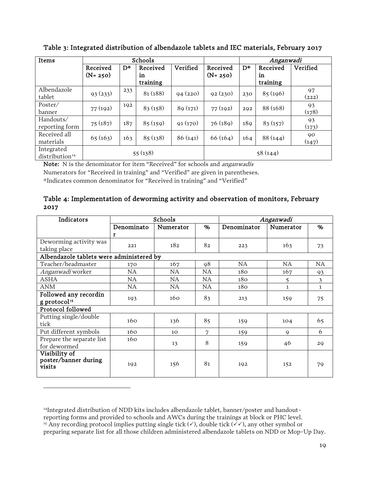| Items                                    | Schools<br>Anganwadi    |     |                            |          |                         |     |                            |             |
|------------------------------------------|-------------------------|-----|----------------------------|----------|-------------------------|-----|----------------------------|-------------|
|                                          | Received<br>$(N = 250)$ | D*  | Received<br>in<br>training | Verified | Received<br>$(N = 250)$ | D*  | Received<br>in<br>training | Verified    |
| Albendazole<br>tablet                    | 93(233)                 | 233 | 81(188)                    | 94(220)  | 92(230)                 | 230 | 85(196)                    | 97<br>(222) |
| Poster/<br>banner                        | 77(192)                 | 192 | 83(158)                    | 89(171)  | 77(192)                 | 292 | 88 (168)                   | 93<br>(178) |
| Handouts/<br>reporting form              | 75(187)                 | 187 | 85(159)                    | 91(170)  | 76(189)                 | 189 | 83(157)                    | 93<br>(173) |
| Received all<br>materials                | 65(163)                 | 163 | 85(138)                    | 86(141)  | 66(164)                 | 164 | 88(144)                    | 90<br>(147) |
| Integrated<br>distribution <sup>14</sup> |                         |     | 55(138)                    |          |                         |     | 58(144)                    |             |

Table 3: Integrated distribution of albendazole tablets and IEC materials, February 2017

Note: N is the denominator for item "Received" for schools and anganwadis

Numerators for "Received in training" and "Verified" are given in parentheses.

\*Indicates common denominator for "Received in training" and "Verified"

l

#### Table 4: Implementation of deworming activity and observation of monitors, February 2017

| Indicators                                        |            | Schools   |           | Anganwadi   |           |           |  |
|---------------------------------------------------|------------|-----------|-----------|-------------|-----------|-----------|--|
|                                                   | Denominato | Numerator | %         | Denominator | Numerator | %         |  |
|                                                   | r          |           |           |             |           |           |  |
| Deworming activity was<br>taking place            | 221        | 182       | 82        | 223         | 163       | 73        |  |
| Albendazole tablets were administered by          |            |           |           |             |           |           |  |
| Teacher/headmaster                                | 170        | 167       | 98        | NA          | NA.       | <b>NA</b> |  |
| Anganwadi worker                                  | NA.        | <b>NA</b> | NA.       | 180         | 167       | 93        |  |
| ASHA                                              | NA.        | <b>NA</b> | NA.       | 180         | 5         | 3         |  |
| ANM                                               | <b>NA</b>  | <b>NA</b> | <b>NA</b> | 180         | 1         | 1         |  |
| Followed any recordin<br>g protocol <sup>15</sup> | 193        | 160       | 83        | 213         | 159       | 75        |  |
| Protocol followed                                 |            |           |           |             |           |           |  |
| Putting single/double<br>tick                     | 160        | 136       | 85        | 159         | 104       | 65        |  |
| Put different symbols                             | 160        | 10        | 7         | 159         | 9         | 6         |  |
| Prepare the separate list<br>for dewormed         | 160        | 13        | 8         | 159         | 46        | 29        |  |
| Visibility of<br>poster/banner during<br>visits   | 192        | 156       | 81        | 192         | 152       | 79        |  |

<span id="page-20-1"></span><span id="page-20-0"></span>14Integrated distribution of NDD kits includes albendazole tablet, banner/poster and handoutreporting forms and provided to schools and AWCs during the trainings at block or PHC level. <sup>15</sup> Any recording protocol implies putting single tick  $(\checkmark)$ , double tick  $(\checkmark\checkmark)$ , any other symbol or preparing separate list for all those children administered albendazole tablets on NDD or Mop-Up Day.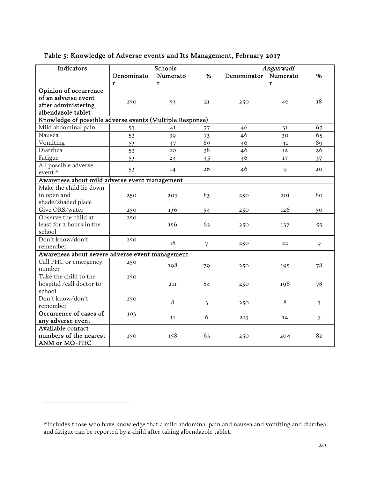| Indicators                                               |            | Schools  |      |             | Anganwadi   |                |
|----------------------------------------------------------|------------|----------|------|-------------|-------------|----------------|
|                                                          | Denominato | Numerato | $\%$ | Denominator | Numerato    | %              |
|                                                          | r          | r        |      |             | r           |                |
| Opinion of occurrence                                    |            |          |      |             |             |                |
| of an adverse event                                      |            |          |      |             |             | 18             |
| after administering                                      | 250        | 53       | 21   | 250         | 46          |                |
| albendazole tablet                                       |            |          |      |             |             |                |
| Knowledge of possible adverse events (Multiple Response) |            |          |      |             |             |                |
| Mild abdominal pain                                      | 53         | 41       | 77   | 46          | 31          | 67             |
| Nausea                                                   | 53         | 39       | 73   | 46          | 30          | 65             |
| Vomiting                                                 | 53         | 47       | 89   | 46          | 41          | 89             |
| Diarrhea                                                 | 53         | 20       | 38   | 46          | 12          | 26             |
| Fatigue                                                  | 53         | 24       | 45   | 46          | 17          | 37             |
| All possible adverse                                     | 53         |          | 26   | 46          | $\mathbf Q$ | 20             |
| event <sup>16</sup>                                      |            | 14       |      |             |             |                |
| Awareness about mild adverse event management            |            |          |      |             |             |                |
| Make the child lie down                                  |            |          |      |             |             |                |
| in open and                                              | 250        | 207      | 83   | 250         | 201         | 80             |
| shade/shaded place                                       |            |          |      |             |             |                |
| Give ORS/water                                           | 250        | 136      | 54   | 250         | 126         | 50             |
| Observe the child at                                     | 250        |          |      |             |             |                |
| least for 2 hours in the                                 |            | 156      | 62   | 250         | 137         | 55             |
| school                                                   |            |          |      |             |             |                |
| Don't know/don't                                         | 250        | 18       | 7    | 250         | 22          | 9              |
| remember                                                 |            |          |      |             |             |                |
| Awareness about severe adverse event management          |            |          |      |             |             |                |
| Call PHC or emergency                                    | 250        | 198      | 79   | 250         | 195         | 78             |
| number                                                   |            |          |      |             |             |                |
| Take the child to the                                    | 250        |          |      |             |             |                |
| hospital /call doctor to                                 |            | 211      | 84   | 250         | 196         | 78             |
| school                                                   |            |          |      |             |             |                |
| Don't know/don't                                         | 250        | 8        | 3    | 250         | $\,8\,$     | $\mathfrak{Z}$ |
| remember                                                 |            |          |      |             |             |                |
| Occurrence of cases of                                   | 193        | 11       | 6    | 213         | 14          | 7              |
| any adverse event                                        |            |          |      |             |             |                |
| Available contact                                        |            |          |      |             |             |                |
| numbers of the nearest                                   | 250        | 158      | 63   | 250         | 204         | 82             |
| ANM or MO-PHC                                            |            |          |      |             |             |                |

#### Table 5: Knowledge of Adverse events and Its Management, February 2017

<span id="page-21-0"></span><sup>16</sup>Includes those who have knowledge that a mild abdominal pain and nausea and vomiting and diarrhea and fatigue can be reported by a child after taking albendazole tablet.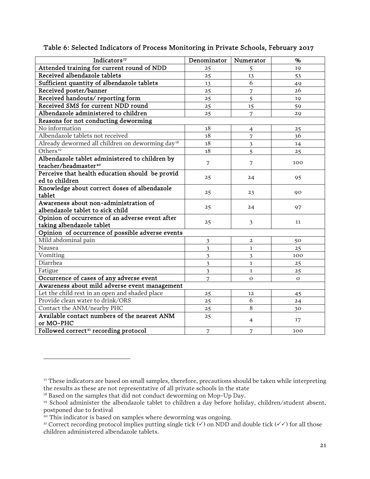| Indicators <sup>17</sup>                                     | Denominator             | Numerator               | %              |
|--------------------------------------------------------------|-------------------------|-------------------------|----------------|
| Attended training for current round of NDD                   | 25                      | 5                       | 19             |
| Received albendazole tablets                                 | 25                      | 13                      | 53             |
| Sufficient quantity of albendazole tablets                   | 13                      | 6                       | 49             |
| Received poster/banner                                       | 25                      | 7                       | 26             |
| Received handouts/reporting form                             | 25                      | $\overline{5}$          | 19             |
| Received SMS for current NDD round                           | 25                      | 15                      | 59             |
| Albendazole administered to children                         | 25                      | 7                       | 29             |
| Reasons for not conducting deworming                         |                         |                         |                |
| No information                                               | $18\,$                  | $\overline{4}$          | 25             |
| Albendazole tablets not received                             | 18                      | 7                       | 36             |
| Already dewormed all children on deworming day <sup>18</sup> | $18\,$                  | $\overline{\mathbf{3}}$ | 14             |
| Others <sup>19</sup>                                         | 18                      | $\overline{5}$          | 25             |
| Albendazole tablet administered to children by               |                         | 7                       | 100            |
| teacher/headmaster <sup>20</sup>                             | 7                       |                         |                |
| Perceive that health education should be provid              | 25                      | 24                      | 95             |
| ed to children                                               |                         |                         |                |
| Knowledge about correct doses of albendazole                 | 25                      | 23                      | 90             |
| tablet                                                       |                         |                         |                |
| Awareness about non-administration of                        | 25                      | 24                      | 97             |
| albendazole tablet to sick child                             |                         |                         |                |
| Opinion of occurrence of an adverse event after              | 25                      | $\overline{\mathbf{3}}$ | 11             |
| taking albendazole tablet                                    |                         |                         |                |
| Opinion of occurrence of possible adverse events             |                         |                         |                |
| Mild abdominal pain                                          | 3                       | $\overline{a}$          | 50             |
| Nausea                                                       | $\overline{\mathbf{3}}$ | $\mathbf{1}$            | 25             |
| Vomiting                                                     | 3                       | $\overline{3}$          | 100            |
| Diarrhea                                                     | 3                       | $\mathbf{1}$            | 25             |
| Fatigue                                                      | $\overline{\mathbf{3}}$ | $\mathbf{1}$            | 25             |
| Occurrence of cases of any adverse event                     | 7                       | $\Omega$                | $\overline{O}$ |
| Awareness about mild adverse event management                |                         |                         |                |
| Let the child rest in an open and shaded place               | 25                      | 12                      | 45             |
| Provide clean water to drink/ORS                             | 25                      | 6                       | 24             |
| Contact the ANM/nearby PHC                                   | 25                      | 8                       | 30             |
| Available contact numbers of the nearest ANM                 | 25                      | $\overline{4}$          | 17             |
| or MO-PHC                                                    |                         |                         |                |
| Followed correct <sup>21</sup> recording protocol            | 7                       | 7                       | 100            |

#### Table 6: Selected Indicators of Process Monitoring in Private Schools, February 2017

<span id="page-22-0"></span><sup>&</sup>lt;sup>17</sup> These indicators are based on small samples, therefore, precautions should be taken while interpreting the results as these are not representative of all private schools in the state

<sup>&</sup>lt;sup>18</sup> Based on the samples that did not conduct deworming on Mop-Up Day.

<span id="page-22-2"></span><span id="page-22-1"></span><sup>19</sup> School administer the albendazole tablet to children a day before holiday, children/student absent, postponed due to festival

<span id="page-22-3"></span><sup>&</sup>lt;sup>20</sup> This indicator is based on samples where deworming was ongoing.

<span id="page-22-4"></span><sup>&</sup>lt;sup>21</sup> Correct recording protocol implies putting single tick  $(\checkmark)$  on NDD and double tick  $(\checkmark\checkmark)$  for all those children administered albendazole tablets.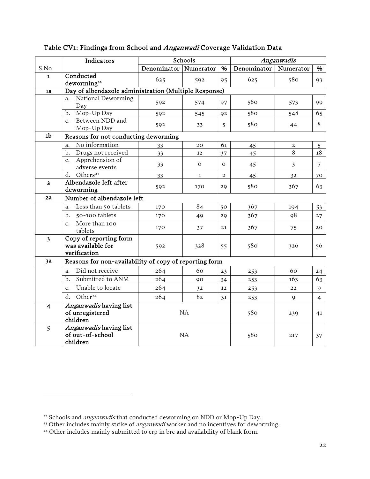|                         | Indicators                                                  | Schools               |              |                | Anganwadis  |                |                |
|-------------------------|-------------------------------------------------------------|-----------------------|--------------|----------------|-------------|----------------|----------------|
| S.No                    |                                                             | Denominator Numerator |              | %              | Denominator | Numerator      | $\%$           |
| $\mathbf{1}$            | Conducted<br>deworming <sup>22</sup>                        | 625                   | 592          | 95             | 625         | 580            | 93             |
| 1a                      | Day of albendazole administration (Multiple Response)       |                       |              |                |             |                |                |
|                         | National Deworming<br>a.<br>Day                             | 592                   | 574          | 97             | 580         | 573            | 99             |
|                         | Mop-Up Day<br>b.                                            | 592                   | 545          | 92             | 580         | 548            | 65             |
|                         | Between NDD and<br>$\mathsf{C}$ .<br>Mop-Up Day             | 592                   | 33           | 5              | 580         | 44             | 8              |
| 1 <sub>b</sub>          | Reasons for not conducting deworming                        |                       |              |                |             |                |                |
|                         | No information<br>a.                                        | 33                    | 20           | 61             | 45          | $\mathbf{2}$   | 5              |
|                         | Drugs not received<br>b.                                    | 33                    | 12           | 37             | 45          | 8              | 18             |
|                         | Apprehension of<br>$\mathsf{c}$ .<br>adverse events         | 33                    | $\mathbf{O}$ | $\Omega$       | 45          | $\mathfrak{Z}$ | 7              |
|                         | Others <sup>23</sup><br>d.                                  | 33                    | $\mathbf{1}$ | $\overline{2}$ | 45          | 32             | 70             |
| $\overline{\mathbf{2}}$ | Albendazole left after<br>deworming                         | 592                   | 170          | 29             | 580         | 367            | 63             |
| 2a                      | Number of albendazole left                                  |                       |              |                |             |                |                |
|                         | Less than 50 tablets<br>a.                                  | 170                   | 84           | 50             | 367         | 194            | 53             |
|                         | 50-100 tablets<br>b.                                        | 170                   | 49           | 29             | 367         | 98             | 27             |
|                         | More than 100<br>$\mathbf{c}$ .<br>tablets                  | 170                   | 37           | 21             | 367         | 75             | 20             |
| $\overline{\mathbf{3}}$ | Copy of reporting form<br>was available for<br>verification | 592                   | 328          | 55             | 580         | 326            | 56             |
| 3a                      | Reasons for non-availability of copy of reporting form      |                       |              |                |             |                |                |
|                         | Did not receive<br>a.                                       | 264                   | 60           | 23             | 253         | 60             | 24             |
|                         | Submitted to ANM<br>b.                                      | 264                   | 90           | 34             | 253         | 163            | 63             |
|                         | Unable to locate<br>$\mathsf{C}$ .                          | 264                   | 32           | 12             | 253         | 22             | 9              |
|                         | Other <sup>24</sup><br>d.                                   | 264                   | 82           | 31             | 253         | 9              | $\overline{4}$ |
| 4                       | Anganwadis having list<br>of unregistered<br>children       |                       | NA           |                |             | 239            | 41             |
| $\overline{5}$          | Anganwadis having list<br>of out-of-school<br>children      | NA                    |              |                | 580         | 217            | 37             |

#### Table CV1: Findings from School and Anganwadi Coverage Validation Data

<span id="page-23-1"></span><span id="page-23-0"></span><sup>&</sup>lt;sup>22</sup> Schools and *anganwadis* that conducted deworming on NDD or Mop-Up Day.

<sup>&</sup>lt;sup>23</sup> Other includes mainly strike of *anganwadi* worker and no incentives for deworming.

<span id="page-23-2"></span><sup>&</sup>lt;sup>24</sup> Other includes mainly submitted to crp in brc and availability of blank form.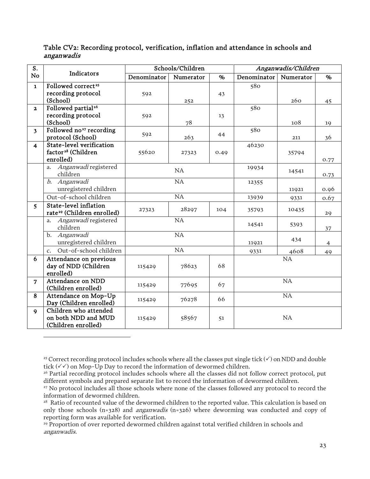| S.                      |                                                                         |             | Schools/Children |      |             | Anganwadis/Children |                |
|-------------------------|-------------------------------------------------------------------------|-------------|------------------|------|-------------|---------------------|----------------|
| No                      | Indicators                                                              | Denominator | Numerator        | %    | Denominator | Numerator           | %              |
| $\mathbf{1}$            | Followed correct <sup>25</sup><br>recording protocol<br>(School)        | 592         | 252              | 43   | 580         | 260                 | 45             |
| $\overline{\mathbf{2}}$ | Followed partial <sup>26</sup><br>recording protocol<br>(School)        | 592         | 78               | 13   | 580         | 108                 | 19             |
| 3 <sup>1</sup>          | Followed no <sup>27</sup> recording<br>protocol (School)                | 592         | 263              | 44   | 580         | 211                 | 36             |
| $\overline{\mathbf{4}}$ | State-level verification<br>factor <sup>28</sup> (Children<br>enrolled) | 55620       | 27323            | 0.49 | 46230       | 35794               | 0.77           |
|                         | Anganwadi registered<br>a.<br>children                                  |             | NA               |      | 19934       | 14541               | 0.73           |
|                         | b. Anganwadi<br>unregistered children                                   | NA          |                  |      | 12355       | 11921               | 0.96           |
|                         | Out-of-school children                                                  |             | $\overline{NA}$  |      | 13939       | 9331                | 0.67           |
| 5                       | State-level inflation<br>rate <sup>29</sup> (Children enrolled)         | 27323       | 28297            | 104  | 35793       | 10435               | 29             |
|                         | Anganwadi registered<br>a.<br>children                                  |             | <b>NA</b>        |      | 14541       | 5393                | 37             |
|                         | b. Anganwadi<br>unregistered children                                   |             | NA               |      | 11921       | 434                 | $\overline{4}$ |
|                         | Out-of-school children<br>$\mathbf{c}$ .                                |             | NA               |      | 9331        | 4608                | 49             |
| 6                       | Attendance on previous<br>day of NDD (Children<br>enrolled)             | 115429      | 78623            | 68   |             | NA                  |                |
| $\overline{7}$          | Attendance on NDD<br>(Children enrolled)                                | 115429      | 77695            | 67   |             | NA                  |                |
| 8                       | Attendance on Mop-Up<br>Day (Children enrolled)                         | 115429      | 76278            | 66   |             | NA                  |                |
| $\mathbf{Q}$            | Children who attended<br>on both NDD and MUD<br>(Children enrolled)     | 115429      | 58567            | 51   |             | NA                  |                |

Table CV2: Recording protocol, verification, inflation and attendance in schools and anganwadis

<span id="page-24-0"></span><sup>&</sup>lt;sup>25</sup> Correct recording protocol includes schools where all the classes put single tick  $(\checkmark)$  on NDD and double tick  $(\checkmark)$  on Mop-Up Day to record the information of dewormed children.

<span id="page-24-1"></span><sup>&</sup>lt;sup>26</sup> Partial recording protocol includes schools where all the classes did not follow correct protocol, put different symbols and prepared separate list to record the information of dewormed children.

<span id="page-24-2"></span><sup>&</sup>lt;sup>27</sup> No protocol includes all those schools where none of the classes followed any protocol to record the information of dewormed children.

<span id="page-24-3"></span><sup>&</sup>lt;sup>28</sup> Ratio of recounted value of the dewormed children to the reported value. This calculation is based on only those schools (n=328) and *anganwadis* (n=326) where deworming was conducted and copy of reporting form was available for verification.

<span id="page-24-4"></span><sup>&</sup>lt;sup>29</sup> Proportion of over reported dewormed children against total verified children in schools and anganwadis.